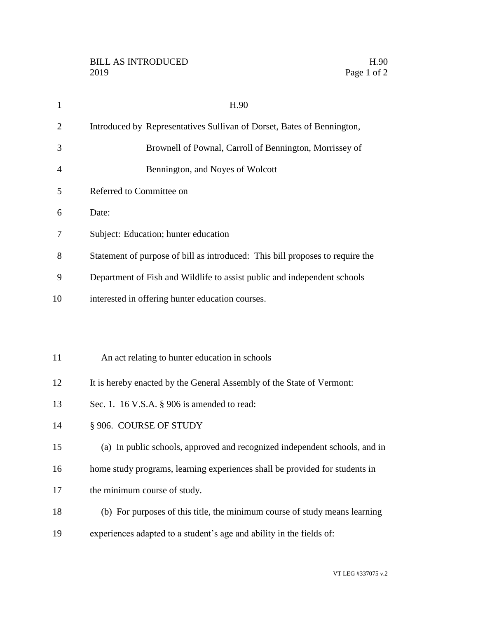| $\mathbf{1}$   | H.90                                                                          |
|----------------|-------------------------------------------------------------------------------|
| $\overline{2}$ | Introduced by Representatives Sullivan of Dorset, Bates of Bennington,        |
| 3              | Brownell of Pownal, Carroll of Bennington, Morrissey of                       |
| 4              | Bennington, and Noyes of Wolcott                                              |
| 5              | Referred to Committee on                                                      |
| 6              | Date:                                                                         |
| 7              | Subject: Education; hunter education                                          |
| 8              | Statement of purpose of bill as introduced: This bill proposes to require the |
| 9              | Department of Fish and Wildlife to assist public and independent schools      |
| 10             | interested in offering hunter education courses.                              |
|                |                                                                               |
|                |                                                                               |
| 11             | An act relating to hunter education in schools                                |
| 12             | It is hereby enacted by the General Assembly of the State of Vermont:         |
| 13             | Sec. 1. 16 V.S.A. $\S$ 906 is amended to read:                                |
| 14             | §906. COURSE OF STUDY                                                         |
| 15             | (a) In public schools, approved and recognized independent schools, and in    |
| 16             | home study programs, learning experiences shall be provided for students in   |
| 17             | the minimum course of study.                                                  |
| 18             | (b) For purposes of this title, the minimum course of study means learning    |
| 19             | experiences adapted to a student's age and ability in the fields of:          |